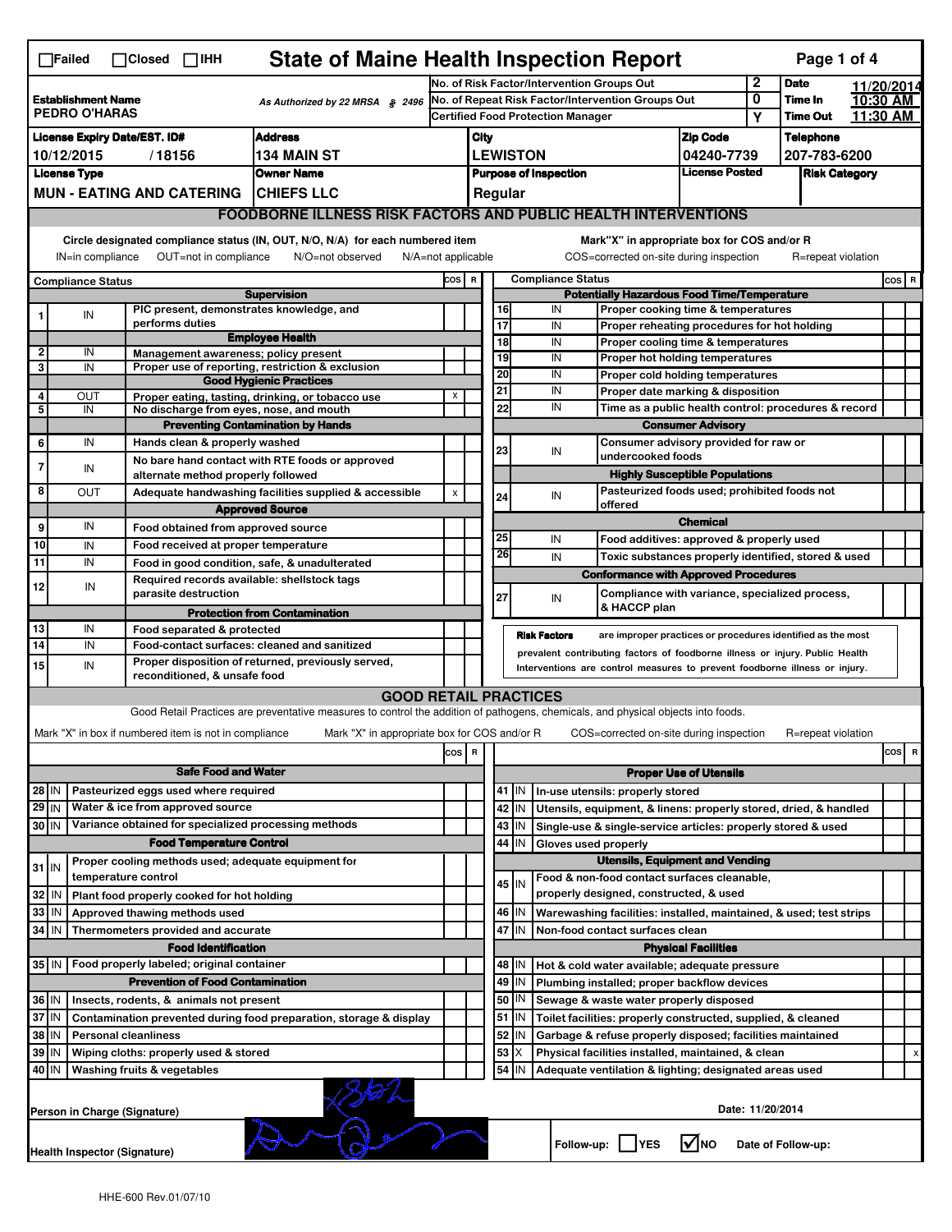| <b>State of Maine Health Inspection Report</b><br>Page 1 of 4<br>$\Box$ Failed<br>$\Box$ Closed $\Box$ IHH                                                                                                                                                      |                                                                                  |                                                       |                                                                                                                                             |     |                                                                            |                                                                                                      |                                                                                                                           |                                                                  |                                                                                                              |                                                                                               |                    |                                  |       |            |  |  |
|-----------------------------------------------------------------------------------------------------------------------------------------------------------------------------------------------------------------------------------------------------------------|----------------------------------------------------------------------------------|-------------------------------------------------------|---------------------------------------------------------------------------------------------------------------------------------------------|-----|----------------------------------------------------------------------------|------------------------------------------------------------------------------------------------------|---------------------------------------------------------------------------------------------------------------------------|------------------------------------------------------------------|--------------------------------------------------------------------------------------------------------------|-----------------------------------------------------------------------------------------------|--------------------|----------------------------------|-------|------------|--|--|
|                                                                                                                                                                                                                                                                 |                                                                                  |                                                       |                                                                                                                                             |     | No. of Risk Factor/Intervention Groups Out                                 |                                                                                                      |                                                                                                                           |                                                                  |                                                                                                              |                                                                                               | 2                  | <b>Date</b>                      |       | 11/20/2014 |  |  |
| <b>Establishment Name</b><br>As Authorized by 22 MRSA § 2496<br><b>PEDRO O'HARAS</b>                                                                                                                                                                            |                                                                                  |                                                       | No. of Repeat Risk Factor/Intervention Groups Out<br><b>Certified Food Protection Manager</b>                                               |     |                                                                            |                                                                                                      |                                                                                                                           |                                                                  | 0<br>Υ                                                                                                       | Time In<br><b>Time Out</b>                                                                    |                    | 10:30 AM<br>11:30 AM             |       |            |  |  |
| <b>Address</b>                                                                                                                                                                                                                                                  |                                                                                  |                                                       |                                                                                                                                             |     |                                                                            |                                                                                                      |                                                                                                                           |                                                                  |                                                                                                              |                                                                                               |                    |                                  |       |            |  |  |
| <b>License Expiry Date/EST. ID#</b><br>10/12/2015<br>/18156<br>134 MAIN ST                                                                                                                                                                                      |                                                                                  |                                                       |                                                                                                                                             |     | City                                                                       |                                                                                                      |                                                                                                                           |                                                                  |                                                                                                              | <b>Zip Code</b><br>04240-7739                                                                 |                    | <b>Telephone</b><br>207-783-6200 |       |            |  |  |
|                                                                                                                                                                                                                                                                 | <b>License Type</b>                                                              |                                                       | <b>Owner Name</b>                                                                                                                           |     | <b>LEWISTON</b><br><b>Purpose of Inspection</b>                            |                                                                                                      |                                                                                                                           | <b>License Posted</b>                                            |                                                                                                              | <b>Risk Category</b>                                                                          |                    |                                  |       |            |  |  |
| <b>MUN - EATING AND CATERING</b><br><b>ICHIEFS LLC</b>                                                                                                                                                                                                          |                                                                                  |                                                       |                                                                                                                                             |     |                                                                            |                                                                                                      |                                                                                                                           |                                                                  |                                                                                                              |                                                                                               |                    |                                  |       |            |  |  |
|                                                                                                                                                                                                                                                                 | Regular<br><b>FOODBORNE ILLNESS RISK FACTORS AND PUBLIC HEALTH INTERVENTIONS</b> |                                                       |                                                                                                                                             |     |                                                                            |                                                                                                      |                                                                                                                           |                                                                  |                                                                                                              |                                                                                               |                    |                                  |       |            |  |  |
|                                                                                                                                                                                                                                                                 |                                                                                  |                                                       |                                                                                                                                             |     |                                                                            |                                                                                                      |                                                                                                                           |                                                                  |                                                                                                              |                                                                                               |                    |                                  |       |            |  |  |
| Circle designated compliance status (IN, OUT, N/O, N/A) for each numbered item<br>Mark"X" in appropriate box for COS and/or R<br>OUT=not in compliance<br>N/O=not observed<br>N/A=not applicable<br>COS=corrected on-site during inspection<br>IN=in compliance |                                                                                  |                                                       |                                                                                                                                             |     |                                                                            |                                                                                                      |                                                                                                                           |                                                                  |                                                                                                              |                                                                                               | R=repeat violation |                                  |       |            |  |  |
| <b>Compliance Status</b>                                                                                                                                                                                                                                        |                                                                                  |                                                       |                                                                                                                                             |     | <b>Compliance Status</b><br>cos  <br>R                                     |                                                                                                      |                                                                                                                           |                                                                  |                                                                                                              |                                                                                               |                    |                                  | COS R |            |  |  |
| <b>Supervision</b><br>PIC present, demonstrates knowledge, and                                                                                                                                                                                                  |                                                                                  |                                                       |                                                                                                                                             |     |                                                                            | <b>Potentially Hazardous Food Time/Temperature</b><br>16<br>IN<br>Proper cooking time & temperatures |                                                                                                                           |                                                                  |                                                                                                              |                                                                                               |                    |                                  |       |            |  |  |
|                                                                                                                                                                                                                                                                 | IN                                                                               | performs duties                                       |                                                                                                                                             |     |                                                                            | 17                                                                                                   |                                                                                                                           | IN                                                               |                                                                                                              | Proper reheating procedures for hot holding                                                   |                    |                                  |       |            |  |  |
|                                                                                                                                                                                                                                                                 |                                                                                  |                                                       | <b>Employee Health</b>                                                                                                                      |     |                                                                            | 18                                                                                                   |                                                                                                                           | IN                                                               |                                                                                                              | Proper cooling time & temperatures                                                            |                    |                                  |       |            |  |  |
| $\overline{\mathbf{2}}$<br>3                                                                                                                                                                                                                                    | IN<br>IN                                                                         | Management awareness; policy present                  | Proper use of reporting, restriction & exclusion                                                                                            |     |                                                                            | 19                                                                                                   |                                                                                                                           | IN                                                               |                                                                                                              | Proper hot holding temperatures                                                               |                    |                                  |       |            |  |  |
|                                                                                                                                                                                                                                                                 |                                                                                  |                                                       | <b>Good Hygienic Practices</b>                                                                                                              |     |                                                                            | 20                                                                                                   |                                                                                                                           | IN                                                               |                                                                                                              | Proper cold holding temperatures                                                              |                    |                                  |       |            |  |  |
| 4                                                                                                                                                                                                                                                               | OUT                                                                              |                                                       | Proper eating, tasting, drinking, or tobacco use                                                                                            | x   |                                                                            | 21                                                                                                   |                                                                                                                           | IN                                                               | Proper date marking & disposition<br>Time as a public health control: procedures & record                    |                                                                                               |                    |                                  |       |            |  |  |
| 5                                                                                                                                                                                                                                                               | IN                                                                               | No discharge from eyes, nose, and mouth               |                                                                                                                                             |     |                                                                            | 22                                                                                                   |                                                                                                                           | IN                                                               |                                                                                                              |                                                                                               |                    |                                  |       |            |  |  |
|                                                                                                                                                                                                                                                                 | IN                                                                               | Hands clean & properly washed                         | <b>Preventing Contamination by Hands</b>                                                                                                    |     |                                                                            |                                                                                                      |                                                                                                                           |                                                                  | <b>Consumer Advisory</b>                                                                                     |                                                                                               |                    |                                  |       |            |  |  |
| 6                                                                                                                                                                                                                                                               |                                                                                  |                                                       | No bare hand contact with RTE foods or approved                                                                                             |     |                                                                            | 23                                                                                                   |                                                                                                                           | IN                                                               | Consumer advisory provided for raw or<br>undercooked foods                                                   |                                                                                               |                    |                                  |       |            |  |  |
| $\overline{7}$                                                                                                                                                                                                                                                  | IN                                                                               | alternate method properly followed                    |                                                                                                                                             |     |                                                                            |                                                                                                      |                                                                                                                           |                                                                  | <b>Highly Susceptible Populations</b>                                                                        |                                                                                               |                    |                                  |       |            |  |  |
| 8                                                                                                                                                                                                                                                               | ΟUΤ                                                                              |                                                       | Adequate handwashing facilities supplied & accessible                                                                                       | X   |                                                                            | 24                                                                                                   |                                                                                                                           | IN                                                               |                                                                                                              | Pasteurized foods used; prohibited foods not                                                  |                    |                                  |       |            |  |  |
|                                                                                                                                                                                                                                                                 |                                                                                  |                                                       | <b>Approved Source</b>                                                                                                                      |     |                                                                            |                                                                                                      |                                                                                                                           |                                                                  | offered                                                                                                      |                                                                                               |                    |                                  |       |            |  |  |
| 9                                                                                                                                                                                                                                                               | IN                                                                               | Food obtained from approved source                    |                                                                                                                                             |     |                                                                            |                                                                                                      |                                                                                                                           |                                                                  |                                                                                                              | <b>Chemical</b>                                                                               |                    |                                  |       |            |  |  |
| 10                                                                                                                                                                                                                                                              | IN                                                                               | Food received at proper temperature                   |                                                                                                                                             |     |                                                                            | 25<br>26                                                                                             |                                                                                                                           | IN                                                               |                                                                                                              | Food additives: approved & properly used                                                      |                    |                                  |       |            |  |  |
| $\overline{11}$                                                                                                                                                                                                                                                 | IN                                                                               |                                                       | Food in good condition, safe, & unadulterated                                                                                               |     |                                                                            |                                                                                                      |                                                                                                                           | IN                                                               |                                                                                                              | Toxic substances properly identified, stored & used                                           |                    |                                  |       |            |  |  |
| 12                                                                                                                                                                                                                                                              | IN                                                                               | parasite destruction                                  | Required records available: shellstock tags                                                                                                 |     |                                                                            | 27                                                                                                   |                                                                                                                           | IN                                                               |                                                                                                              | <b>Conformance with Approved Procedures</b><br>Compliance with variance, specialized process, |                    |                                  |       |            |  |  |
|                                                                                                                                                                                                                                                                 |                                                                                  |                                                       | <b>Protection from Contamination</b>                                                                                                        |     |                                                                            |                                                                                                      |                                                                                                                           |                                                                  | & HACCP plan                                                                                                 |                                                                                               |                    |                                  |       |            |  |  |
| 13                                                                                                                                                                                                                                                              | IN                                                                               | Food separated & protected                            |                                                                                                                                             |     |                                                                            |                                                                                                      |                                                                                                                           | <b>Risk Factors</b>                                              |                                                                                                              |                                                                                               |                    |                                  |       |            |  |  |
| 14                                                                                                                                                                                                                                                              | IN                                                                               | Food-contact surfaces: cleaned and sanitized          | are improper practices or procedures identified as the most<br>prevalent contributing factors of foodborne illness or injury. Public Health |     |                                                                            |                                                                                                      |                                                                                                                           |                                                                  |                                                                                                              |                                                                                               |                    |                                  |       |            |  |  |
| 15                                                                                                                                                                                                                                                              | IN                                                                               | reconditioned, & unsafe food                          | Proper disposition of returned, previously served,                                                                                          |     | Interventions are control measures to prevent foodborne illness or injury. |                                                                                                      |                                                                                                                           |                                                                  |                                                                                                              |                                                                                               |                    |                                  |       |            |  |  |
|                                                                                                                                                                                                                                                                 |                                                                                  |                                                       | <b>GOOD RETAIL PRACTICES</b>                                                                                                                |     |                                                                            |                                                                                                      |                                                                                                                           |                                                                  |                                                                                                              |                                                                                               |                    |                                  |       |            |  |  |
|                                                                                                                                                                                                                                                                 |                                                                                  |                                                       | Good Retail Practices are preventative measures to control the addition of pathogens, chemicals, and physical objects into foods.           |     |                                                                            |                                                                                                      |                                                                                                                           |                                                                  |                                                                                                              |                                                                                               |                    |                                  |       |            |  |  |
|                                                                                                                                                                                                                                                                 |                                                                                  | Mark "X" in box if numbered item is not in compliance | Mark "X" in appropriate box for COS and/or R                                                                                                |     |                                                                            |                                                                                                      |                                                                                                                           |                                                                  |                                                                                                              | COS=corrected on-site during inspection                                                       |                    | R=repeat violation               |       |            |  |  |
|                                                                                                                                                                                                                                                                 |                                                                                  |                                                       |                                                                                                                                             | cos | R                                                                          |                                                                                                      |                                                                                                                           |                                                                  |                                                                                                              |                                                                                               |                    |                                  |       | cos<br>R   |  |  |
| <b>Safe Food and Water</b>                                                                                                                                                                                                                                      |                                                                                  |                                                       |                                                                                                                                             |     |                                                                            | <b>Proper Use of Utensils</b>                                                                        |                                                                                                                           |                                                                  |                                                                                                              |                                                                                               |                    |                                  |       |            |  |  |
| Pasteurized eggs used where required<br>28 IN                                                                                                                                                                                                                   |                                                                                  |                                                       |                                                                                                                                             |     |                                                                            |                                                                                                      | 41   IN                                                                                                                   | In-use utensils: properly stored                                 |                                                                                                              |                                                                                               |                    |                                  |       |            |  |  |
| $29$ IN                                                                                                                                                                                                                                                         |                                                                                  | Water & ice from approved source                      |                                                                                                                                             |     |                                                                            |                                                                                                      | 42 IN                                                                                                                     | Utensils, equipment, & linens: properly stored, dried, & handled |                                                                                                              |                                                                                               |                    |                                  |       |            |  |  |
| 30 IN                                                                                                                                                                                                                                                           |                                                                                  | Variance obtained for specialized processing methods  |                                                                                                                                             |     |                                                                            |                                                                                                      | 43 IN                                                                                                                     | Single-use & single-service articles: properly stored & used     |                                                                                                              |                                                                                               |                    |                                  |       |            |  |  |
|                                                                                                                                                                                                                                                                 |                                                                                  | <b>Food Temperature Control</b>                       |                                                                                                                                             |     |                                                                            | 44                                                                                                   | IN                                                                                                                        | Gloves used properly                                             |                                                                                                              |                                                                                               |                    |                                  |       |            |  |  |
| $31$ IN                                                                                                                                                                                                                                                         |                                                                                  | Proper cooling methods used; adequate equipment for   |                                                                                                                                             |     |                                                                            | <b>Utensils, Equipment and Vending</b>                                                               |                                                                                                                           |                                                                  |                                                                                                              |                                                                                               |                    |                                  |       |            |  |  |
|                                                                                                                                                                                                                                                                 |                                                                                  | temperature control                                   |                                                                                                                                             |     |                                                                            |                                                                                                      | $45$ IN                                                                                                                   | Food & non-food contact surfaces cleanable,                      |                                                                                                              |                                                                                               |                    |                                  |       |            |  |  |
| 32                                                                                                                                                                                                                                                              | IN                                                                               | Plant food properly cooked for hot holding            |                                                                                                                                             |     |                                                                            |                                                                                                      |                                                                                                                           | properly designed, constructed, & used                           |                                                                                                              |                                                                                               |                    |                                  |       |            |  |  |
| 33                                                                                                                                                                                                                                                              | IN                                                                               | Approved thawing methods used                         |                                                                                                                                             |     |                                                                            |                                                                                                      | 46   IN                                                                                                                   |                                                                  | Warewashing facilities: installed, maintained, & used; test strips                                           |                                                                                               |                    |                                  |       |            |  |  |
| 34                                                                                                                                                                                                                                                              | IN                                                                               | Thermometers provided and accurate                    |                                                                                                                                             |     |                                                                            |                                                                                                      | 47 IN                                                                                                                     | Non-food contact surfaces clean                                  |                                                                                                              |                                                                                               |                    |                                  |       |            |  |  |
|                                                                                                                                                                                                                                                                 |                                                                                  | <b>Food Identification</b>                            |                                                                                                                                             |     |                                                                            |                                                                                                      |                                                                                                                           |                                                                  |                                                                                                              | <b>Physical Facilities</b>                                                                    |                    |                                  |       |            |  |  |
| 35 IN   Food properly labeled; original container                                                                                                                                                                                                               |                                                                                  |                                                       |                                                                                                                                             |     |                                                                            |                                                                                                      | 48   IN                                                                                                                   | Hot & cold water available; adequate pressure                    |                                                                                                              |                                                                                               |                    |                                  |       |            |  |  |
| <b>Prevention of Food Contamination</b>                                                                                                                                                                                                                         |                                                                                  |                                                       |                                                                                                                                             |     | 49                                                                         | IN                                                                                                   | Plumbing installed; proper backflow devices<br>Sewage & waste water properly disposed                                     |                                                                  |                                                                                                              |                                                                                               |                    |                                  |       |            |  |  |
| 36 IN<br>Insects, rodents, & animals not present<br>37<br>ΙM                                                                                                                                                                                                    |                                                                                  |                                                       |                                                                                                                                             |     | 50<br>51                                                                   | IN                                                                                                   |                                                                                                                           |                                                                  |                                                                                                              |                                                                                               |                    |                                  |       |            |  |  |
| Contamination prevented during food preparation, storage & display<br>38<br>IN<br><b>Personal cleanliness</b>                                                                                                                                                   |                                                                                  |                                                       |                                                                                                                                             |     | 52                                                                         | IN<br>IN                                                                                             | Toilet facilities: properly constructed, supplied, & cleaned<br>Garbage & refuse properly disposed; facilities maintained |                                                                  |                                                                                                              |                                                                                               |                    |                                  |       |            |  |  |
| 39                                                                                                                                                                                                                                                              | IN                                                                               |                                                       |                                                                                                                                             |     |                                                                            | 53                                                                                                   | ΙX                                                                                                                        |                                                                  |                                                                                                              |                                                                                               |                    |                                  |       |            |  |  |
| Wiping cloths: properly used & stored<br>40 IN<br>Washing fruits & vegetables                                                                                                                                                                                   |                                                                                  |                                                       |                                                                                                                                             |     |                                                                            |                                                                                                      | 54<br>IN                                                                                                                  |                                                                  | Physical facilities installed, maintained, & clean<br>Adequate ventilation & lighting; designated areas used |                                                                                               |                    |                                  |       |            |  |  |
|                                                                                                                                                                                                                                                                 | Date: 11/20/2014<br>Person in Charge (Signature)                                 |                                                       |                                                                                                                                             |     |                                                                            |                                                                                                      |                                                                                                                           |                                                                  |                                                                                                              |                                                                                               |                    |                                  |       |            |  |  |
|                                                                                                                                                                                                                                                                 |                                                                                  | <b>Health Inspector (Signature)</b>                   |                                                                                                                                             |     |                                                                            |                                                                                                      |                                                                                                                           | Follow-up:     YES                                               |                                                                                                              | <b>V</b> INO                                                                                  |                    | Date of Follow-up:               |       |            |  |  |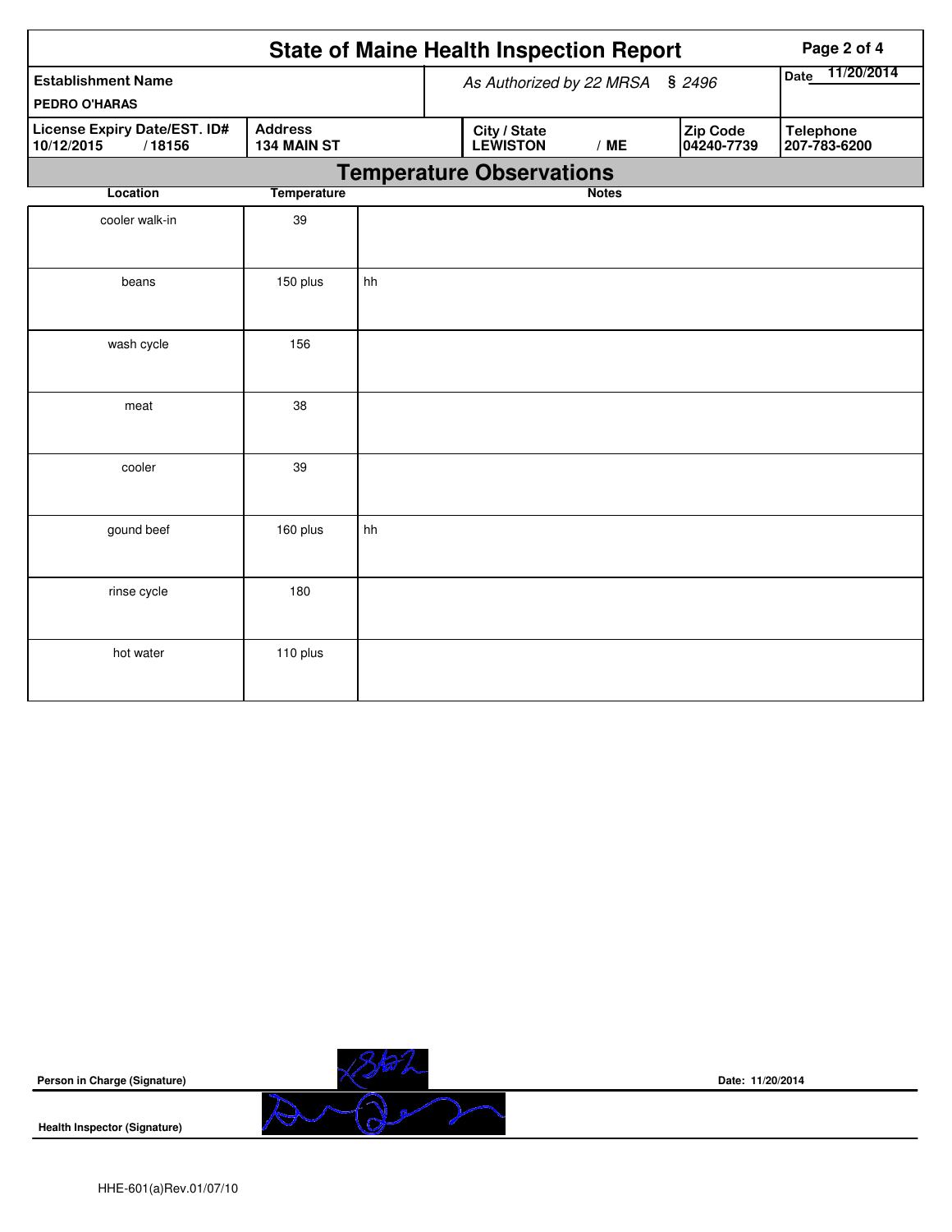| <b>State of Maine Health Inspection Report</b><br>Page 2 of 4                                |                                 |    |  |                                 |              |  |                        |                                  |  |
|----------------------------------------------------------------------------------------------|---------------------------------|----|--|---------------------------------|--------------|--|------------------------|----------------------------------|--|
| <b>Establishment Name</b><br><b>PEDRO O'HARAS</b>                                            | As Authorized by 22 MRSA § 2496 |    |  |                                 |              |  | 11/20/2014<br>Date     |                                  |  |
| <b>Address</b><br><b>License Expiry Date/EST. ID#</b><br>/18156<br>10/12/2015<br>134 MAIN ST |                                 |    |  | City / State<br><b>LEWISTON</b> | /ME          |  | Zip Code<br>04240-7739 | <b>Telephone</b><br>207-783-6200 |  |
|                                                                                              |                                 |    |  | <b>Temperature Observations</b> |              |  |                        |                                  |  |
| Location                                                                                     | <b>Temperature</b>              |    |  |                                 | <b>Notes</b> |  |                        |                                  |  |
| cooler walk-in                                                                               | 39                              |    |  |                                 |              |  |                        |                                  |  |
| beans                                                                                        | 150 plus                        | hh |  |                                 |              |  |                        |                                  |  |
| wash cycle                                                                                   | 156                             |    |  |                                 |              |  |                        |                                  |  |
| meat                                                                                         | 38                              |    |  |                                 |              |  |                        |                                  |  |
| cooler                                                                                       | 39                              |    |  |                                 |              |  |                        |                                  |  |
| gound beef                                                                                   | 160 plus                        | hh |  |                                 |              |  |                        |                                  |  |
| rinse cycle                                                                                  | 180                             |    |  |                                 |              |  |                        |                                  |  |
| hot water                                                                                    | 110 plus                        |    |  |                                 |              |  |                        |                                  |  |

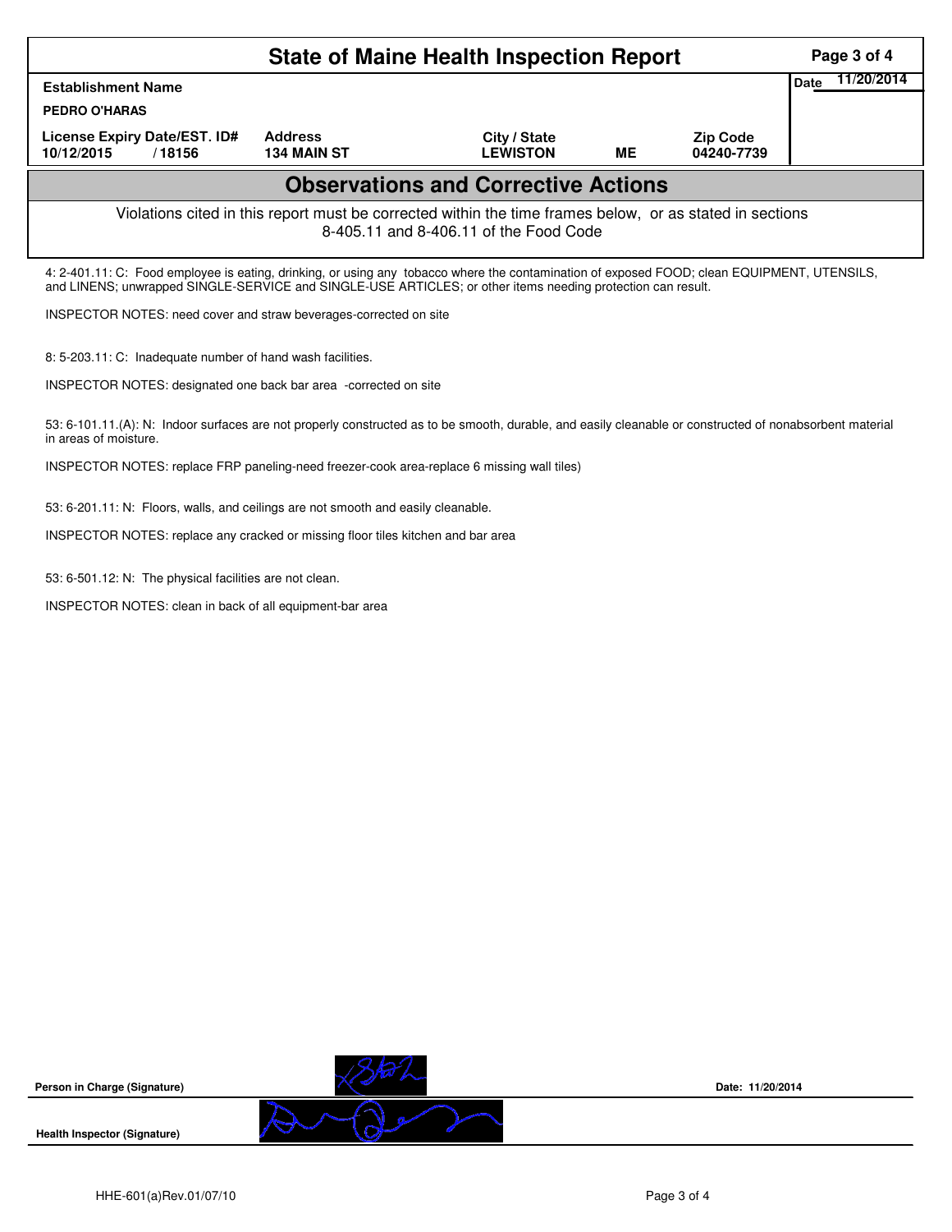| <b>State of Maine Health Inspection Report</b>                                                                                                                                                                                                             |  |                                                                                   |                                                                                            |           |                               |                    |  |  |  |  |  |
|------------------------------------------------------------------------------------------------------------------------------------------------------------------------------------------------------------------------------------------------------------|--|-----------------------------------------------------------------------------------|--------------------------------------------------------------------------------------------|-----------|-------------------------------|--------------------|--|--|--|--|--|
| <b>Establishment Name</b>                                                                                                                                                                                                                                  |  |                                                                                   |                                                                                            |           |                               | 11/20/2014<br>Date |  |  |  |  |  |
| <b>PEDRO O'HARAS</b>                                                                                                                                                                                                                                       |  |                                                                                   |                                                                                            |           |                               |                    |  |  |  |  |  |
| License Expiry Date/EST. ID#<br>10/12/2015<br>/18156                                                                                                                                                                                                       |  | <b>Address</b><br><b>134 MAIN ST</b>                                              | City / State<br><b>LEWISTON</b>                                                            | <b>ME</b> | <b>Zip Code</b><br>04240-7739 |                    |  |  |  |  |  |
| <b>Observations and Corrective Actions</b>                                                                                                                                                                                                                 |  |                                                                                   |                                                                                            |           |                               |                    |  |  |  |  |  |
| Violations cited in this report must be corrected within the time frames below, or as stated in sections<br>8-405.11 and 8-406.11 of the Food Code                                                                                                         |  |                                                                                   |                                                                                            |           |                               |                    |  |  |  |  |  |
| 4: 2-401.11: C: Food employee is eating, drinking, or using any tobacco where the contamination of exposed FOOD; clean EQUIPMENT, UTENSILS,<br>and LINENS; unwrapped SINGLE-SERVICE and SINGLE-USE ARTICLES; or other items needing protection can result. |  |                                                                                   |                                                                                            |           |                               |                    |  |  |  |  |  |
| INSPECTOR NOTES: need cover and straw beverages-corrected on site                                                                                                                                                                                          |  |                                                                                   |                                                                                            |           |                               |                    |  |  |  |  |  |
| 8: 5-203.11: C: Inadequate number of hand wash facilities.                                                                                                                                                                                                 |  |                                                                                   |                                                                                            |           |                               |                    |  |  |  |  |  |
|                                                                                                                                                                                                                                                            |  | INSPECTOR NOTES: designated one back bar area -corrected on site                  |                                                                                            |           |                               |                    |  |  |  |  |  |
| 53: 6-101.11.(A): N: Indoor surfaces are not properly constructed as to be smooth, durable, and easily cleanable or constructed of nonabsorbent material<br>in areas of moisture.                                                                          |  |                                                                                   |                                                                                            |           |                               |                    |  |  |  |  |  |
|                                                                                                                                                                                                                                                            |  |                                                                                   | INSPECTOR NOTES: replace FRP paneling-need freezer-cook area-replace 6 missing wall tiles) |           |                               |                    |  |  |  |  |  |
|                                                                                                                                                                                                                                                            |  | 53: 6-201.11: N: Floors, walls, and ceilings are not smooth and easily cleanable. |                                                                                            |           |                               |                    |  |  |  |  |  |
| INSPECTOR NOTES: replace any cracked or missing floor tiles kitchen and bar area                                                                                                                                                                           |  |                                                                                   |                                                                                            |           |                               |                    |  |  |  |  |  |
| 53: 6-501.12: N: The physical facilities are not clean.                                                                                                                                                                                                    |  |                                                                                   |                                                                                            |           |                               |                    |  |  |  |  |  |
| INSPECTOR NOTES: clean in back of all equipment-bar area                                                                                                                                                                                                   |  |                                                                                   |                                                                                            |           |                               |                    |  |  |  |  |  |
|                                                                                                                                                                                                                                                            |  |                                                                                   |                                                                                            |           |                               |                    |  |  |  |  |  |
|                                                                                                                                                                                                                                                            |  |                                                                                   |                                                                                            |           |                               |                    |  |  |  |  |  |
|                                                                                                                                                                                                                                                            |  |                                                                                   |                                                                                            |           |                               |                    |  |  |  |  |  |
|                                                                                                                                                                                                                                                            |  |                                                                                   |                                                                                            |           |                               |                    |  |  |  |  |  |
|                                                                                                                                                                                                                                                            |  |                                                                                   |                                                                                            |           |                               |                    |  |  |  |  |  |



**Date: 11/20/2014**